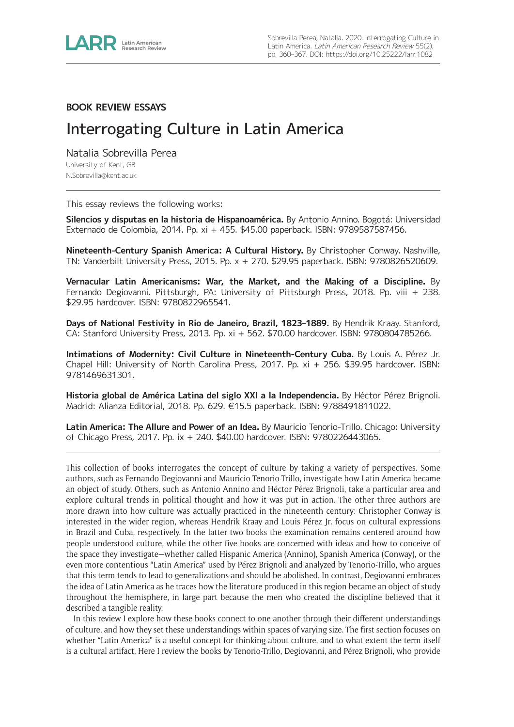

## **BOOK REVIEW ESSAYS**

# Interrogating Culture in Latin America

Natalia Sobrevilla Perea University of Kent, GB [N.Sobrevilla@kent.ac.uk](mailto:N.Sobrevilla@kent.ac.uk)

This essay reviews the following works:

**Silencios y disputas en la historia de Hispanoamérica.** By Antonio Annino. Bogotá: Universidad Externado de Colombia, 2014. Pp. xi + 455. \$45.00 paperback. ISBN: 9789587587456.

**Nineteenth-Century Spanish America: A Cultural History.** By Christopher Conway. Nashville, TN: Vanderbilt University Press, 2015. Pp. x + 270. \$29.95 paperback. ISBN: 9780826520609.

**Vernacular Latin Americanisms: War, the Market, and the Making of a Discipline.** By Fernando Degiovanni. Pittsburgh, PA: University of Pittsburgh Press, 2018. Pp. viii + 238. \$29.95 hardcover. ISBN: 9780822965541.

**Days of National Festivity in Rio de Janeiro, Brazil, 1823–1889.** By Hendrik Kraay. Stanford, CA: Stanford University Press, 2013. Pp. xi + 562. \$70.00 hardcover. ISBN: 9780804785266.

**Intimations of Modernity: Civil Culture in Nineteenth-Century Cuba.** By Louis A. Pérez Jr. Chapel Hill: University of North Carolina Press, 2017. Pp. xi + 256. \$39.95 hardcover. ISBN: 9781469631301.

**Historia global de América Latina del siglo XXI a la Independencia.** By Héctor Pérez Brignoli. Madrid: Alianza Editorial, 2018. Pp. 629. €15.5 paperback. ISBN: 9788491811022.

**Latin America: The Allure and Power of an Idea.** By Mauricio Tenorio-Trillo. Chicago: University of Chicago Press, 2017. Pp. ix + 240. \$40.00 hardcover. ISBN: 9780226443065.

This collection of books interrogates the concept of culture by taking a variety of perspectives. Some authors, such as Fernando Degiovanni and Mauricio Tenorio-Trillo, investigate how Latin America became an object of study. Others, such as Antonio Annino and Héctor Pérez Brignoli, take a particular area and explore cultural trends in political thought and how it was put in action. The other three authors are more drawn into how culture was actually practiced in the nineteenth century: Christopher Conway is interested in the wider region, whereas Hendrik Kraay and Louis Pérez Jr. focus on cultural expressions in Brazil and Cuba, respectively. In the latter two books the examination remains centered around how people understood culture, while the other five books are concerned with ideas and how to conceive of the space they investigate—whether called Hispanic America (Annino), Spanish America (Conway), or the even more contentious "Latin America" used by Pérez Brignoli and analyzed by Tenorio-Trillo, who argues that this term tends to lead to generalizations and should be abolished. In contrast, Degiovanni embraces the idea of Latin America as he traces how the literature produced in this region became an object of study throughout the hemisphere, in large part because the men who created the discipline believed that it described a tangible reality.

In this review I explore how these books connect to one another through their different understandings of culture, and how they set these understandings within spaces of varying size. The first section focuses on whether "Latin America" is a useful concept for thinking about culture, and to what extent the term itself is a cultural artifact. Here I review the books by Tenorio-Trillo, Degiovanni, and Pérez Brignoli, who provide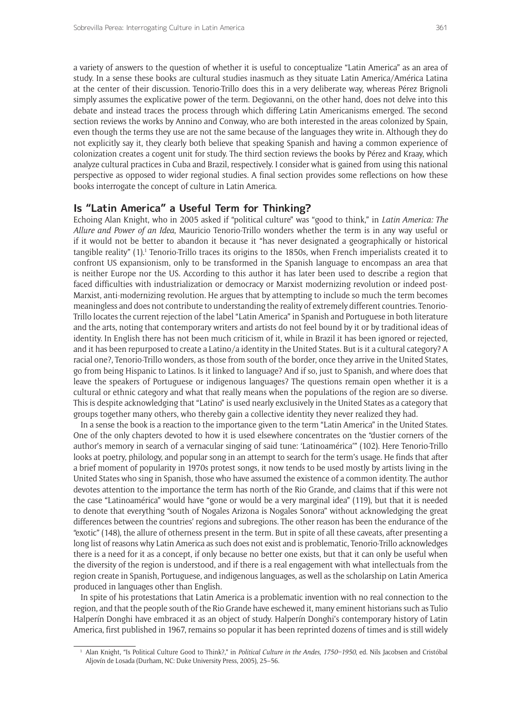a variety of answers to the question of whether it is useful to conceptualize "Latin America" as an area of study. In a sense these books are cultural studies inasmuch as they situate Latin America/América Latina at the center of their discussion. Tenorio-Trillo does this in a very deliberate way, whereas Pérez Brignoli simply assumes the explicative power of the term. Degiovanni, on the other hand, does not delve into this debate and instead traces the process through which differing Latin Americanisms emerged. The second section reviews the works by Annino and Conway, who are both interested in the areas colonized by Spain, even though the terms they use are not the same because of the languages they write in. Although they do not explicitly say it, they clearly both believe that speaking Spanish and having a common experience of colonization creates a cogent unit for study. The third section reviews the books by Pérez and Kraay, which analyze cultural practices in Cuba and Brazil, respectively. I consider what is gained from using this national perspective as opposed to wider regional studies. A final section provides some reflections on how these books interrogate the concept of culture in Latin America.

# **Is "Latin America" a Useful Term for Thinking?**

Echoing Alan Knight, who in 2005 asked if "political culture" was "good to think," in *Latin America: The Allure and Power of an Idea*, Mauricio Tenorio-Trillo wonders whether the term is in any way useful or if it would not be better to abandon it because it "has never designated a geographically or historical tangible reality" (1).<sup>1</sup> Tenorio-Trillo traces its origins to the 1850s, when French imperialists created it to confront US expansionism, only to be transformed in the Spanish language to encompass an area that is neither Europe nor the US. According to this author it has later been used to describe a region that faced difficulties with industrialization or democracy or Marxist modernizing revolution or indeed post-Marxist, anti-modernizing revolution. He argues that by attempting to include so much the term becomes meaningless and does not contribute to understanding the reality of extremely different countries. Tenorio-Trillo locates the current rejection of the label "Latin America" in Spanish and Portuguese in both literature and the arts, noting that contemporary writers and artists do not feel bound by it or by traditional ideas of identity. In English there has not been much criticism of it, while in Brazil it has been ignored or rejected, and it has been repurposed to create a Latino/a identity in the United States. But is it a cultural category? A racial one?, Tenorio-Trillo wonders, as those from south of the border, once they arrive in the United States, go from being Hispanic to Latinos. Is it linked to language? And if so, just to Spanish, and where does that leave the speakers of Portuguese or indigenous languages? The questions remain open whether it is a cultural or ethnic category and what that really means when the populations of the region are so diverse. This is despite acknowledging that "Latino" is used nearly exclusively in the United States as a category that groups together many others, who thereby gain a collective identity they never realized they had.

In a sense the book is a reaction to the importance given to the term "Latin America" in the United States. One of the only chapters devoted to how it is used elsewhere concentrates on the "dustier corners of the author's memory in search of a vernacular singing of said tune: 'Latinoamérica'" (102). Here Tenorio-Trillo looks at poetry, philology, and popular song in an attempt to search for the term's usage. He finds that after a brief moment of popularity in 1970s protest songs, it now tends to be used mostly by artists living in the United States who sing in Spanish, those who have assumed the existence of a common identity. The author devotes attention to the importance the term has north of the Rio Grande, and claims that if this were not the case "Latinoamérica" would have "gone or would be a very marginal idea" (119), but that it is needed to denote that everything "south of Nogales Arizona is Nogales Sonora" without acknowledging the great differences between the countries' regions and subregions. The other reason has been the endurance of the "exotic" (148), the allure of otherness present in the term. But in spite of all these caveats, after presenting a long list of reasons why Latin America as such does not exist and is problematic, Tenorio-Trillo acknowledges there is a need for it as a concept, if only because no better one exists, but that it can only be useful when the diversity of the region is understood, and if there is a real engagement with what intellectuals from the region create in Spanish, Portuguese, and indigenous languages, as well as the scholarship on Latin America produced in languages other than English.

In spite of his protestations that Latin America is a problematic invention with no real connection to the region, and that the people south of the Rio Grande have eschewed it, many eminent historians such as Tulio Halperín Donghi have embraced it as an object of study. Halperín Donghi's contemporary history of Latin America, first published in 1967, remains so popular it has been reprinted dozens of times and is still widely

<sup>1</sup> Alan Knight, "Is Political Culture Good to Think?," in *Political Culture in the Andes, 1750–1950*, ed. Nils Jacobsen and Cristóbal Aljovín de Losada (Durham, NC: Duke University Press, 2005), 25–56.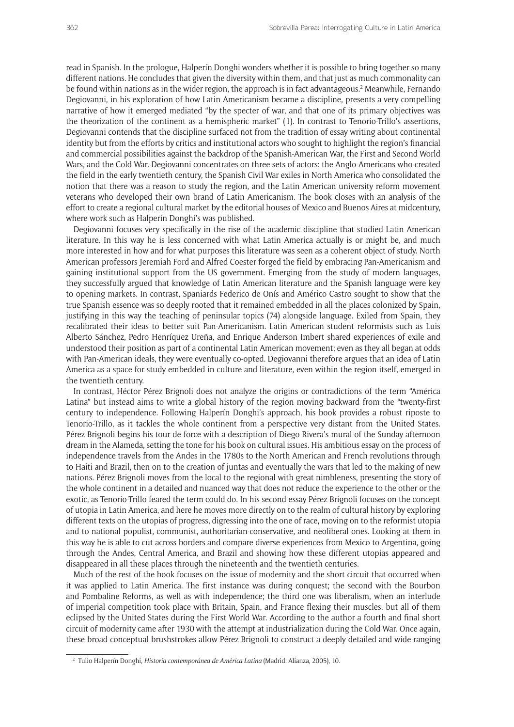read in Spanish. In the prologue, Halperín Donghi wonders whether it is possible to bring together so many different nations. He concludes that given the diversity within them, and that just as much commonality can be found within nations as in the wider region, the approach is in fact advantageous.<sup>2</sup> Meanwhile, Fernando Degiovanni, in his exploration of how Latin Americanism became a discipline, presents a very compelling narrative of how it emerged mediated "by the specter of war, and that one of its primary objectives was the theorization of the continent as a hemispheric market" (1). In contrast to Tenorio-Trillo's assertions, Degiovanni contends that the discipline surfaced not from the tradition of essay writing about continental identity but from the efforts by critics and institutional actors who sought to highlight the region's financial and commercial possibilities against the backdrop of the Spanish-American War, the First and Second World Wars, and the Cold War. Degiovanni concentrates on three sets of actors: the Anglo-Americans who created the field in the early twentieth century, the Spanish Civil War exiles in North America who consolidated the notion that there was a reason to study the region, and the Latin American university reform movement veterans who developed their own brand of Latin Americanism. The book closes with an analysis of the effort to create a regional cultural market by the editorial houses of Mexico and Buenos Aires at midcentury, where work such as Halperín Donghi's was published.

Degiovanni focuses very specifically in the rise of the academic discipline that studied Latin American literature. In this way he is less concerned with what Latin America actually is or might be, and much more interested in how and for what purposes this literature was seen as a coherent object of study. North American professors Jeremiah Ford and Alfred Coester forged the field by embracing Pan-Americanism and gaining institutional support from the US government. Emerging from the study of modern languages, they successfully argued that knowledge of Latin American literature and the Spanish language were key to opening markets. In contrast, Spaniards Federico de Onís and Américo Castro sought to show that the true Spanish essence was so deeply rooted that it remained embedded in all the places colonized by Spain, justifying in this way the teaching of peninsular topics (74) alongside language. Exiled from Spain, they recalibrated their ideas to better suit Pan-Americanism. Latin American student reformists such as Luis Alberto Sánchez, Pedro Henríquez Ureña, and Enrique Anderson Imbert shared experiences of exile and understood their position as part of a continental Latin American movement; even as they all began at odds with Pan-American ideals, they were eventually co-opted. Degiovanni therefore argues that an idea of Latin America as a space for study embedded in culture and literature, even within the region itself, emerged in the twentieth century.

In contrast, Héctor Pérez Brignoli does not analyze the origins or contradictions of the term "América Latina" but instead aims to write a global history of the region moving backward from the "twenty-first century to independence. Following Halperín Donghi's approach, his book provides a robust riposte to Tenorio-Trillo, as it tackles the whole continent from a perspective very distant from the United States. Pérez Brignoli begins his tour de force with a description of Diego Rivera's mural of the Sunday afternoon dream in the Alameda, setting the tone for his book on cultural issues. His ambitious essay on the process of independence travels from the Andes in the 1780s to the North American and French revolutions through to Haiti and Brazil, then on to the creation of juntas and eventually the wars that led to the making of new nations. Pérez Brignoli moves from the local to the regional with great nimbleness, presenting the story of the whole continent in a detailed and nuanced way that does not reduce the experience to the other or the exotic, as Tenorio-Trillo feared the term could do. In his second essay Pérez Brignoli focuses on the concept of utopia in Latin America, and here he moves more directly on to the realm of cultural history by exploring different texts on the utopias of progress, digressing into the one of race, moving on to the reformist utopia and to national populist, communist, authoritarian-conservative, and neoliberal ones. Looking at them in this way he is able to cut across borders and compare diverse experiences from Mexico to Argentina, going through the Andes, Central America, and Brazil and showing how these different utopias appeared and disappeared in all these places through the nineteenth and the twentieth centuries.

Much of the rest of the book focuses on the issue of modernity and the short circuit that occurred when it was applied to Latin America. The first instance was during conquest; the second with the Bourbon and Pombaline Reforms, as well as with independence; the third one was liberalism, when an interlude of imperial competition took place with Britain, Spain, and France flexing their muscles, but all of them eclipsed by the United States during the First World War. According to the author a fourth and final short circuit of modernity came after 1930 with the attempt at industrialization during the Cold War. Once again, these broad conceptual brushstrokes allow Pérez Brignoli to construct a deeply detailed and wide-ranging

<sup>2</sup> Tulio Halperín Donghi, *Historia contemporánea de América Latina* (Madrid: Alianza, 2005), 10.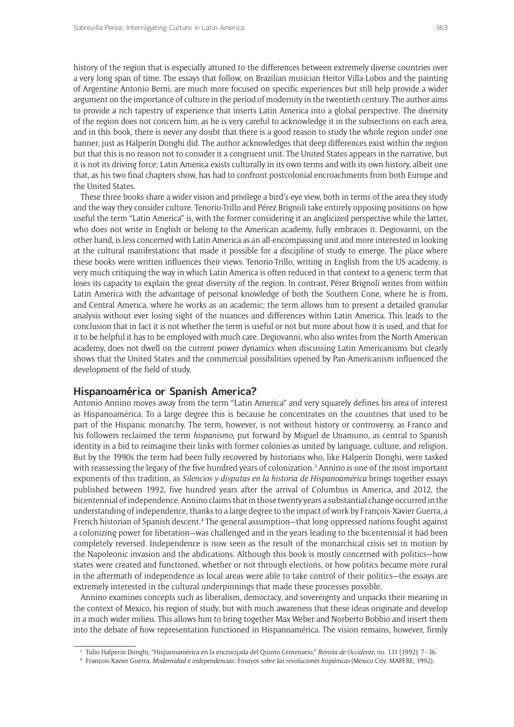history of the region that is especially attuned to the differences between extremely diverse countries over a very long span of time. The essays that follow, on Brazilian musician Heitor Villa-Lobos and the painting of Argentine Antonio Berni, are much more focused on specific experiences but still help provide a wider argument on the importance of culture in the period of modernity in the twentieth century. The author aims to provide a rich tapestry of experience that inserts Latin America into a global perspective. The diversity of the region does not concern him, as he is very careful to acknowledge it in the subsections on each area, and in this book, there is never any doubt that there is a good reason to study the whole region under one banner, just as Halperín Donghi did. The author acknowledges that deep differences exist within the region but that this is no reason not to consider it a congruent unit. The United States appears in the narrative, but it is not its driving force; Latin America exists culturally in its own terms and with its own history, albeit one that, as his two final chapters show, has had to confront postcolonial encroachments from both Europe and the United States.

These three books share a wider vision and privilege a bird's-eye view, both in terms of the area they study and the way they consider culture. Tenorio-Trillo and Pérez Brignoli take entirely opposing positions on how useful the term "Latin America" is, with the former considering it an anglicized perspective while the latter, who does not write in English or belong to the American academy, fully embraces it. Degiovanni, on the other hand, is less concerned with Latin America as an all-encompassing unit and more interested in looking at the cultural manifestations that made it possible for a discipline of study to emerge. The place where these books were written influences their views. Tenorio-Trillo, writing in English from the US academy, is very much critiquing the way in which Latin America is often reduced in that context to a generic term that loses its capacity to explain the great diversity of the region. In contrast, Pérez Brignoli writes from within Latin America with the advantage of personal knowledge of both the Southern Cone, where he is from, and Central America, where he works as an academic; the term allows him to present a detailed granular analysis without ever losing sight of the nuances and differences within Latin America. This leads to the conclusion that in fact it is not whether the term is useful or not but more about how it is used, and that for it to be helpful it has to be employed with much care. Degiovanni, who also writes from the North American academy, does not dwell on the current power dynamics when discussing Latin Americanisms but clearly shows that the United States and the commercial possibilities opened by Pan-Americanism influenced the development of the field of study.

#### **Hispanoamérica or Spanish America?**

Antonio Annino moves away from the term "Latin America" and very squarely defines his area of interest as Hispanoamérica. To a large degree this is because he concentrates on the countries that used to be part of the Hispanic monarchy. The term, however, is not without history or controversy, as Franco and his followers reclaimed the term *hispanismo*, put forward by Miguel de Unamuno, as central to Spanish identity in a bid to reimagine their links with former colonies as united by language, culture, and religion. But by the 1990s the term had been fully recovered by historians who, like Halperín Donghi, were tasked with reassessing the legacy of the five hundred years of colonization.<sup>3</sup> Annino is one of the most important exponents of this tradition, as *Silencios y disputas en la historia de Hispanoamérica* brings together essays published between 1992, five hundred years after the arrival of Columbus in America, and 2012, the bicentennial of independence. Annino claims that in those twenty years a substantial change occurred in the understanding of independence, thanks to a large degree to the impact of work by François-Xavier Guerra, a French historian of Spanish descent.4 The general assumption—that long-oppressed nations fought against a colonizing power for liberation—was challenged and in the years leading to the bicentennial it had been completely reversed. Independence is now seen as the result of the monarchical crisis set in motion by the Napoleonic invasion and the abdications. Although this book is mostly concerned with politics—how states were created and functioned, whether or not through elections, or how politics became more rural in the aftermath of independence as local areas were able to take control of their politics—the essays are extremely interested in the cultural underpinnings that made these processes possible.

Annino examines concepts such as liberalism, democracy, and sovereignty and unpacks their meaning in the context of Mexico, his region of study, but with much awareness that these ideas originate and develop in a much wider milieu. This allows him to bring together Max Weber and Norberto Bobbio and insert them into the debate of how representation functioned in Hispanoamérica. The vision remains, however, firmly

<sup>&</sup>lt;sup>3</sup> Tulio Halperín Donghi, "Hispanoamérica en la encrucijada del Quinto Centenario," *Revista de Occidente*, no. 131 (1992): 7–36.<br><sup>4</sup> François-Xavier Guerra, *Modernidad e independencias: Ensayos sobre las revoluciones hi*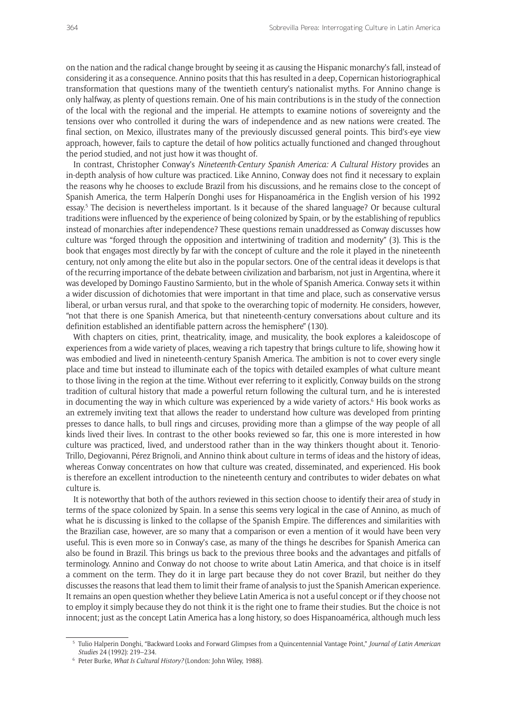on the nation and the radical change brought by seeing it as causing the Hispanic monarchy's fall, instead of considering it as a consequence. Annino posits that this has resulted in a deep, Copernican historiographical transformation that questions many of the twentieth century's nationalist myths. For Annino change is only halfway, as plenty of questions remain. One of his main contributions is in the study of the connection of the local with the regional and the imperial. He attempts to examine notions of sovereignty and the tensions over who controlled it during the wars of independence and as new nations were created. The final section, on Mexico, illustrates many of the previously discussed general points. This bird's-eye view approach, however, fails to capture the detail of how politics actually functioned and changed throughout the period studied, and not just how it was thought of.

In contrast, Christopher Conway's *Nineteenth-Century Spanish America: A Cultural History* provides an in-depth analysis of how culture was practiced. Like Annino, Conway does not find it necessary to explain the reasons why he chooses to exclude Brazil from his discussions, and he remains close to the concept of Spanish America, the term Halperín Donghi uses for Hispanoamérica in the English version of his 1992 essay.<sup>5</sup> The decision is nevertheless important. Is it because of the shared language? Or because cultural traditions were influenced by the experience of being colonized by Spain, or by the establishing of republics instead of monarchies after independence? These questions remain unaddressed as Conway discusses how culture was "forged through the opposition and intertwining of tradition and modernity" (3). This is the book that engages most directly by far with the concept of culture and the role it played in the nineteenth century, not only among the elite but also in the popular sectors. One of the central ideas it develops is that of the recurring importance of the debate between civilization and barbarism, not just in Argentina, where it was developed by Domingo Faustino Sarmiento, but in the whole of Spanish America. Conway sets it within a wider discussion of dichotomies that were important in that time and place, such as conservative versus liberal, or urban versus rural, and that spoke to the overarching topic of modernity. He considers, however, "not that there is one Spanish America, but that nineteenth-century conversations about culture and its definition established an identifiable pattern across the hemisphere" (130).

With chapters on cities, print, theatricality, image, and musicality, the book explores a kaleidoscope of experiences from a wide variety of places, weaving a rich tapestry that brings culture to life, showing how it was embodied and lived in nineteenth-century Spanish America. The ambition is not to cover every single place and time but instead to illuminate each of the topics with detailed examples of what culture meant to those living in the region at the time. Without ever referring to it explicitly, Conway builds on the strong tradition of cultural history that made a powerful return following the cultural turn, and he is interested in documenting the way in which culture was experienced by a wide variety of actors.<sup>6</sup> His book works as an extremely inviting text that allows the reader to understand how culture was developed from printing presses to dance halls, to bull rings and circuses, providing more than a glimpse of the way people of all kinds lived their lives. In contrast to the other books reviewed so far, this one is more interested in how culture was practiced, lived, and understood rather than in the way thinkers thought about it. Tenorio-Trillo, Degiovanni, Pérez Brignoli, and Annino think about culture in terms of ideas and the history of ideas, whereas Conway concentrates on how that culture was created, disseminated, and experienced. His book is therefore an excellent introduction to the nineteenth century and contributes to wider debates on what culture is.

It is noteworthy that both of the authors reviewed in this section choose to identify their area of study in terms of the space colonized by Spain. In a sense this seems very logical in the case of Annino, as much of what he is discussing is linked to the collapse of the Spanish Empire. The differences and similarities with the Brazilian case, however, are so many that a comparison or even a mention of it would have been very useful. This is even more so in Conway's case, as many of the things he describes for Spanish America can also be found in Brazil. This brings us back to the previous three books and the advantages and pitfalls of terminology. Annino and Conway do not choose to write about Latin America, and that choice is in itself a comment on the term. They do it in large part because they do not cover Brazil, but neither do they discusses the reasons that lead them to limit their frame of analysis to just the Spanish American experience. It remains an open question whether they believe Latin America is not a useful concept or if they choose not to employ it simply because they do not think it is the right one to frame their studies. But the choice is not innocent; just as the concept Latin America has a long history, so does Hispanoamérica, although much less

<sup>5</sup> Tulio Halperin Donghi, "Backward Looks and Forward Glimpses from a Quincentennial Vantage Point," *Journal of Latin American Studies* 24 (1992): 219–234.

<sup>6</sup> Peter Burke, *What Is Cultural History?* (London: John Wiley, 1988).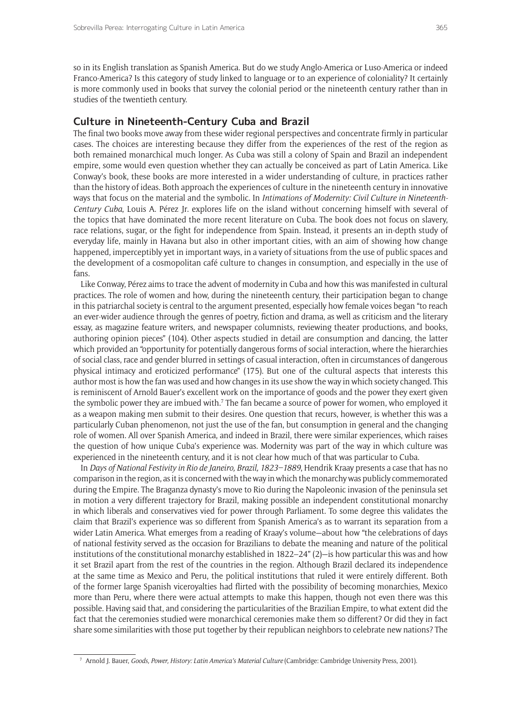so in its English translation as Spanish America. But do we study Anglo-America or Luso-America or indeed Franco-America? Is this category of study linked to language or to an experience of coloniality? It certainly is more commonly used in books that survey the colonial period or the nineteenth century rather than in studies of the twentieth century.

#### **Culture in Nineteenth-Century Cuba and Brazil**

The final two books move away from these wider regional perspectives and concentrate firmly in particular cases. The choices are interesting because they differ from the experiences of the rest of the region as both remained monarchical much longer. As Cuba was still a colony of Spain and Brazil an independent empire, some would even question whether they can actually be conceived as part of Latin America. Like Conway's book, these books are more interested in a wider understanding of culture, in practices rather than the history of ideas. Both approach the experiences of culture in the nineteenth century in innovative ways that focus on the material and the symbolic. In *Intimations of Modernity: Civil Culture in Nineteenth-Century Cuba*, Louis A. Pérez Jr. explores life on the island without concerning himself with several of the topics that have dominated the more recent literature on Cuba. The book does not focus on slavery, race relations, sugar, or the fight for independence from Spain. Instead, it presents an in-depth study of everyday life, mainly in Havana but also in other important cities, with an aim of showing how change happened, imperceptibly yet in important ways, in a variety of situations from the use of public spaces and the development of a cosmopolitan café culture to changes in consumption, and especially in the use of fans.

Like Conway, Pérez aims to trace the advent of modernity in Cuba and how this was manifested in cultural practices. The role of women and how, during the nineteenth century, their participation began to change in this patriarchal society is central to the argument presented, especially how female voices began "to reach an ever-wider audience through the genres of poetry, fiction and drama, as well as criticism and the literary essay, as magazine feature writers, and newspaper columnists, reviewing theater productions, and books, authoring opinion pieces" (104). Other aspects studied in detail are consumption and dancing, the latter which provided an "opportunity for potentially dangerous forms of social interaction, where the hierarchies of social class, race and gender blurred in settings of casual interaction, often in circumstances of dangerous physical intimacy and eroticized performance" (175). But one of the cultural aspects that interests this author most is how the fan was used and how changes in its use show the way in which society changed. This is reminiscent of Arnold Bauer's excellent work on the importance of goods and the power they exert given the symbolic power they are imbued with.<sup>7</sup> The fan became a source of power for women, who employed it as a weapon making men submit to their desires. One question that recurs, however, is whether this was a particularly Cuban phenomenon, not just the use of the fan, but consumption in general and the changing role of women. All over Spanish America, and indeed in Brazil, there were similar experiences, which raises the question of how unique Cuba's experience was. Modernity was part of the way in which culture was experienced in the nineteenth century, and it is not clear how much of that was particular to Cuba.

In *Days of National Festivity in Rio de Janeiro, Brazil, 1823–1889*, Hendrik Kraay presents a case that has no comparison in the region, as it is concerned with the way in which the monarchy was publicly commemorated during the Empire. The Braganza dynasty's move to Rio during the Napoleonic invasion of the peninsula set in motion a very different trajectory for Brazil, making possible an independent constitutional monarchy in which liberals and conservatives vied for power through Parliament. To some degree this validates the claim that Brazil's experience was so different from Spanish America's as to warrant its separation from a wider Latin America. What emerges from a reading of Kraay's volume—about how "the celebrations of days of national festivity served as the occasion for Brazilians to debate the meaning and nature of the political institutions of the constitutional monarchy established in  $1822-24"$  (2)—is how particular this was and how it set Brazil apart from the rest of the countries in the region. Although Brazil declared its independence at the same time as Mexico and Peru, the political institutions that ruled it were entirely different. Both of the former large Spanish viceroyalties had flirted with the possibility of becoming monarchies, Mexico more than Peru, where there were actual attempts to make this happen, though not even there was this possible. Having said that, and considering the particularities of the Brazilian Empire, to what extent did the fact that the ceremonies studied were monarchical ceremonies make them so different? Or did they in fact share some similarities with those put together by their republican neighbors to celebrate new nations? The

<sup>7</sup> Arnold J. Bauer, *Goods, Power, History: Latin America's Material Culture* (Cambridge: Cambridge University Press, 2001).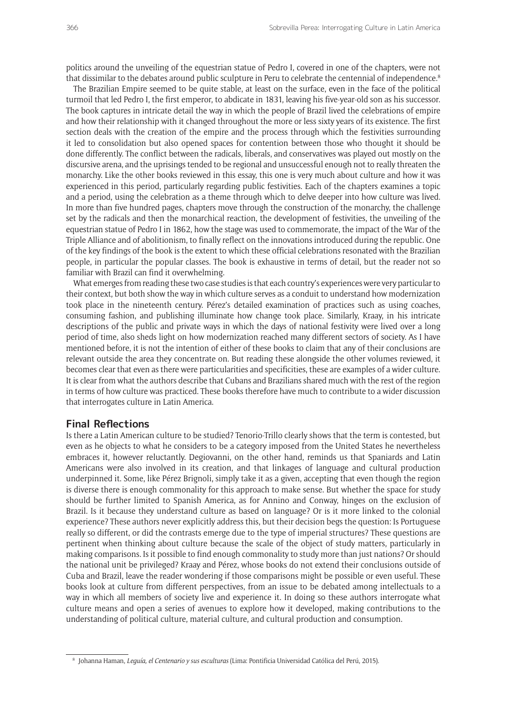politics around the unveiling of the equestrian statue of Pedro I, covered in one of the chapters, were not that dissimilar to the debates around public sculpture in Peru to celebrate the centennial of independence.<sup>8</sup>

The Brazilian Empire seemed to be quite stable, at least on the surface, even in the face of the political turmoil that led Pedro I, the first emperor, to abdicate in 1831, leaving his five-year-old son as his successor. The book captures in intricate detail the way in which the people of Brazil lived the celebrations of empire and how their relationship with it changed throughout the more or less sixty years of its existence. The first section deals with the creation of the empire and the process through which the festivities surrounding it led to consolidation but also opened spaces for contention between those who thought it should be done differently. The conflict between the radicals, liberals, and conservatives was played out mostly on the discursive arena, and the uprisings tended to be regional and unsuccessful enough not to really threaten the monarchy. Like the other books reviewed in this essay, this one is very much about culture and how it was experienced in this period, particularly regarding public festivities. Each of the chapters examines a topic and a period, using the celebration as a theme through which to delve deeper into how culture was lived. In more than five hundred pages, chapters move through the construction of the monarchy, the challenge set by the radicals and then the monarchical reaction, the development of festivities, the unveiling of the equestrian statue of Pedro I in 1862, how the stage was used to commemorate, the impact of the War of the Triple Alliance and of abolitionism, to finally reflect on the innovations introduced during the republic. One of the key findings of the book is the extent to which these official celebrations resonated with the Brazilian people, in particular the popular classes. The book is exhaustive in terms of detail, but the reader not so familiar with Brazil can find it overwhelming.

What emerges from reading these two case studies is that each country's experiences were very particular to their context, but both show the way in which culture serves as a conduit to understand how modernization took place in the nineteenth century. Pérez's detailed examination of practices such as using coaches, consuming fashion, and publishing illuminate how change took place. Similarly, Kraay, in his intricate descriptions of the public and private ways in which the days of national festivity were lived over a long period of time, also sheds light on how modernization reached many different sectors of society. As I have mentioned before, it is not the intention of either of these books to claim that any of their conclusions are relevant outside the area they concentrate on. But reading these alongside the other volumes reviewed, it becomes clear that even as there were particularities and specificities, these are examples of a wider culture. It is clear from what the authors describe that Cubans and Brazilians shared much with the rest of the region in terms of how culture was practiced. These books therefore have much to contribute to a wider discussion that interrogates culture in Latin America.

#### **Final Reflections**

Is there a Latin American culture to be studied? Tenorio-Trillo clearly shows that the term is contested, but even as he objects to what he considers to be a category imposed from the United States he nevertheless embraces it, however reluctantly. Degiovanni, on the other hand, reminds us that Spaniards and Latin Americans were also involved in its creation, and that linkages of language and cultural production underpinned it. Some, like Pérez Brignoli, simply take it as a given, accepting that even though the region is diverse there is enough commonality for this approach to make sense. But whether the space for study should be further limited to Spanish America, as for Annino and Conway, hinges on the exclusion of Brazil. Is it because they understand culture as based on language? Or is it more linked to the colonial experience? These authors never explicitly address this, but their decision begs the question: Is Portuguese really so different, or did the contrasts emerge due to the type of imperial structures? These questions are pertinent when thinking about culture because the scale of the object of study matters, particularly in making comparisons. Is it possible to find enough commonality to study more than just nations? Or should the national unit be privileged? Kraay and Pérez, whose books do not extend their conclusions outside of Cuba and Brazil, leave the reader wondering if those comparisons might be possible or even useful. These books look at culture from different perspectives, from an issue to be debated among intellectuals to a way in which all members of society live and experience it. In doing so these authors interrogate what culture means and open a series of avenues to explore how it developed, making contributions to the understanding of political culture, material culture, and cultural production and consumption.

<sup>8</sup> Johanna Haman, *Leguía, el Centenario y sus esculturas* (Lima: Pontificia Universidad Católica del Perú, 2015).